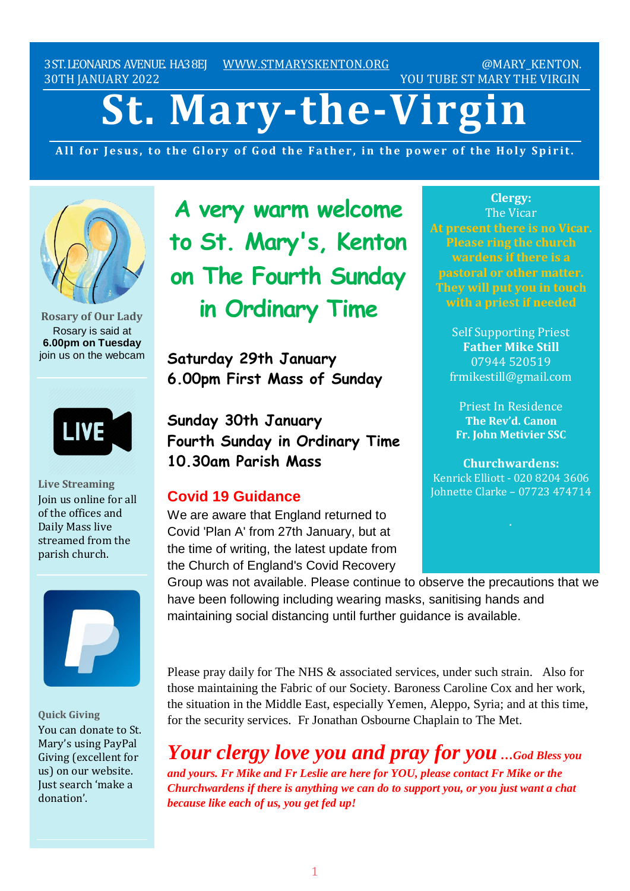3ST.LEONARDS AVENUE. HA38EJ [WWW.STMARYSKENTON.ORG](http://www.stmaryskenton.org/) @MARY\_KENTON. 30TH JANUARY 2022 30TH JANUARY 2022

# **St. Mary-the-Virgin**

All for Jesus, to the Glory of God the Father, in the power of the Holy Spirit.



**Rosary of Our Lady** Rosary is said at **6.00pm on Tuesday** join us on the webcam



**Live Streaming** Join us online for all of the offices and Daily Mass live streamed from the parish church.



**Quick Giving** You can donate to St. Mary's using PayPal Giving (excellent for us) on our website. Just search 'make a donation'.

**A very warm welcome to St. Mary's, Kenton on The Fourth Sunday in Ordinary Time**

**Saturday 29th January 6.00pm First Mass of Sunday**

**Sunday 30th January Fourth Sunday in Ordinary Time 10.30am Parish Mass**

# **Covid 19 Guidance**

We are aware that England returned to Covid 'Plan A' from 27th January, but at the time of writing, the latest update from the Church of England's Covid Recovery

**Clergy:** The Vicar **At present there is no Vicar. Please ring the church wardens if there is a pastoral or other matter. They will put you in touch**

> Self Supporting Priest **Father Mike Still** 07944 520519 frmikestill@gmail.com

Priest In Residence **The Rev'd. Canon Fr. John Metivier SSC**

**Churchwardens:** Kenrick Elliott - 020 8204 3606 Johnette Clarke – 07723 474714

Group was not available. Please continue to observe the precautions that we have been following including wearing masks, sanitising hands and maintaining social distancing until further guidance is available.

Please pray daily for The NHS & associated services, under such strain. Also for those maintaining the Fabric of our Society. Baroness Caroline Cox and her work, the situation in the Middle East, especially Yemen, Aleppo, Syria; and at this time, for the security services. Fr Jonathan Osbourne Chaplain to The Met.

*Your clergy love you and pray for you …God Bless you and yours. Fr Mike and Fr Leslie are here for YOU, please contact Fr Mike or the Churchwardens if there is anything we can do to support you, or you just want a chat because like each of us, you get fed up!*